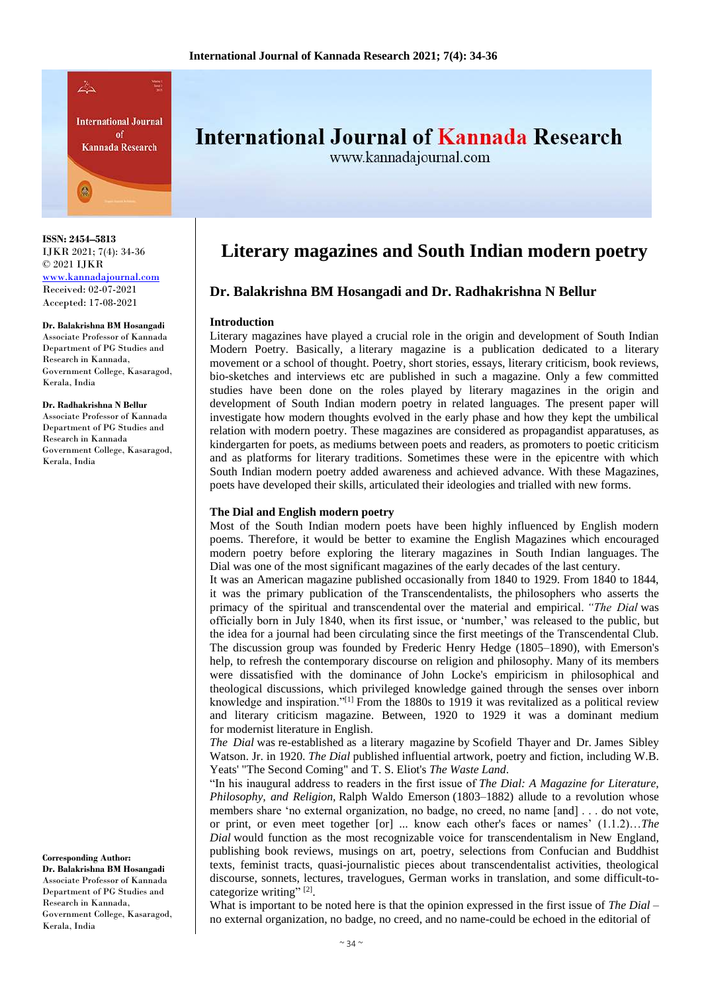

**ISSN: 2454–5813** IJKR 2021; 7(4): 34-36 © 2021 IJKR <www.kannadajournal.com> Received: 02-07-2021 Accepted: 17-08-2021

#### **Dr. Balakrishna BM Hosangadi**

Associate Professor of Kannada Department of PG Studies and Research in Kannada, Government College, Kasaragod, Kerala, India

**Dr. Radhakrishna N Bellur** Associate Professor of Kannada Department of PG Studies and Research in Kannada Government College, Kasaragod, Kerala, India

**Corresponding Author: Dr. Balakrishna BM Hosangadi** Associate Professor of Kannada Department of PG Studies and Research in Kannada, Government College, Kasaragod, Kerala, India

# International Journal of Kannada Research

www.kannadajournal.com

# **Literary magazines and South Indian modern poetry**

# **Dr. Balakrishna BM Hosangadi and Dr. Radhakrishna N Bellur**

#### **Introduction**

Literary magazines have played a crucial role in the origin and development of South Indian Modern Poetry. Basically, a literary magazine is a publication dedicated to a literary movement or a school of thought. Poetry, short stories, essays, literary criticism, book reviews, bio-sketches and interviews etc are published in such a magazine. Only a few committed studies have been done on the roles played by literary magazines in the origin and development of South Indian modern poetry in related languages. The present paper will investigate how modern thoughts evolved in the early phase and how they kept the umbilical relation with modern poetry. These magazines are considered as propagandist apparatuses, as kindergarten for poets, as mediums between poets and readers, as promoters to poetic criticism and as platforms for literary traditions. Sometimes these were in the epicentre with which South Indian modern poetry added awareness and achieved advance. With these Magazines, poets have developed their skills, articulated their ideologies and trialled with new forms.

#### **The Dial and English modern poetry**

Most of the South Indian modern poets have been highly influenced by English modern poems. Therefore, it would be better to examine the English Magazines which encouraged modern poetry before exploring the literary magazines in South Indian languages. The Dial was one of the most significant magazines of the early decades of the last century.

It was an American magazine published occasionally from 1840 to 1929. From 1840 to 1844, it was the primary publication of the Transcendentalists, the philosophers who asserts the primacy of the spiritual and transcendental over the material and empirical. *"The Dial* was officially born in July 1840, when its first issue, or 'number,' was released to the public, but the idea for a journal had been circulating since the first meetings of the Transcendental Club. The discussion group was founded by Frederic Henry Hedge (1805–1890), with Emerson's help, to refresh the contemporary discourse on religion and philosophy. Many of its members were dissatisfied with the dominance of John Locke's empiricism in philosophical and theological discussions, which privileged knowledge gained through the senses over inborn knowledge and inspiration."<sup>[1]</sup> From the 1880s to 1919 it was revitalized as a political review and literary criticism magazine. Between, 1920 to 1929 it was a dominant medium for modernist literature in English.

*The Dial* was re-established as a literary magazine by Scofield Thayer and Dr. James Sibley Watson. Jr. in 1920. *The Dial* published influential artwork, poetry and fiction, including W.B. Yeats' "The Second Coming" and T. S. Eliot's *The Waste Land*.

"In his inaugural address to readers in the first issue of *The Dial: A Magazine for Literature, Philosophy, and Religion,* Ralph Waldo Emerson (1803–1882) allude to a revolution whose members share 'no external organization, no badge, no creed, no name [and] . . . do not vote, or print, or even meet together [or] ... know each other's faces or names' (1.1.2)…*The Dial* would function as the most recognizable voice for transcendentalism in New England, publishing book reviews, musings on art, poetry, selections from Confucian and Buddhist texts, feminist tracts, quasi-journalistic pieces about transcendentalist activities, theological discourse, sonnets, lectures, travelogues, German works in translation, and some difficult-tocategorize writing"<sup>[2]</sup>.

What is important to be noted here is that the opinion expressed in the first issue of *The Dial* – no external organization, no badge, no creed, and no name-could be echoed in the editorial of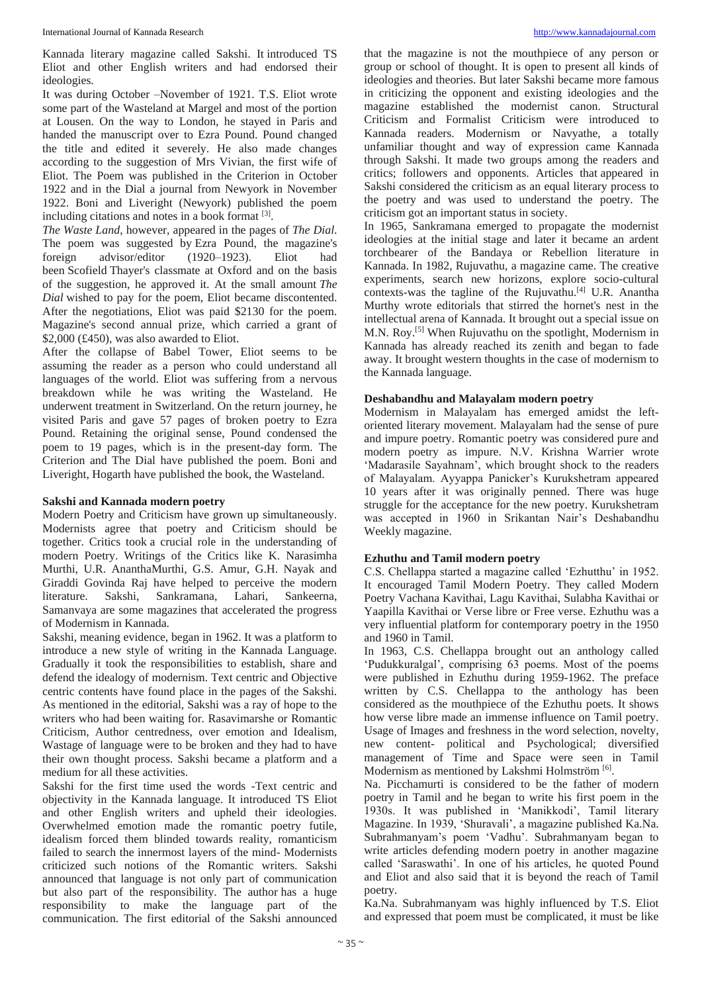Kannada literary magazine called Sakshi. It introduced TS Eliot and other English writers and had endorsed their ideologies.

It was during October –November of 1921. T.S. Eliot wrote some part of the Wasteland at Margel and most of the portion at Lousen. On the way to London, he stayed in Paris and handed the manuscript over to Ezra Pound. Pound changed the title and edited it severely. He also made changes according to the suggestion of Mrs Vivian, the first wife of Eliot. The Poem was published in the Criterion in October 1922 and in the Dial a journal from Newyork in November 1922. Boni and Liveright (Newyork) published the poem including citations and notes in a book format [3].

*The Waste Land*, however, appeared in the pages of *The Dial*. The poem was suggested by Ezra Pound, the magazine's foreign advisor/editor (1920–1923). Eliot had been Scofield Thayer's classmate at Oxford and on the basis of the suggestion, he approved it. At the small amount *The Dial* wished to pay for the poem, Eliot became discontented. After the negotiations, Eliot was paid \$2130 for the poem. Magazine's second annual prize, which carried a grant of \$2,000 (£450), was also awarded to Eliot.

After the collapse of Babel Tower, Eliot seems to be assuming the reader as a person who could understand all languages of the world. Eliot was suffering from a nervous breakdown while he was writing the Wasteland. He underwent treatment in Switzerland. On the return journey, he visited Paris and gave 57 pages of broken poetry to Ezra Pound. Retaining the original sense, Pound condensed the poem to 19 pages, which is in the present-day form. The Criterion and The Dial have published the poem. Boni and Liveright, Hogarth have published the book, the Wasteland.

### **Sakshi and Kannada modern poetry**

Modern Poetry and Criticism have grown up simultaneously. Modernists agree that poetry and Criticism should be together. Critics took a crucial role in the understanding of modern Poetry. Writings of the Critics like K. Narasimha Murthi, U.R. AnanthaMurthi, G.S. Amur, G.H. Nayak and Giraddi Govinda Raj have helped to perceive the modern literature. Sakshi, Sankramana, Lahari, Sankeerna, Samanvaya are some magazines that accelerated the progress of Modernism in Kannada.

Sakshi, meaning evidence, began in 1962. It was a platform to introduce a new style of writing in the Kannada Language. Gradually it took the responsibilities to establish, share and defend the idealogy of modernism. Text centric and Objective centric contents have found place in the pages of the Sakshi. As mentioned in the editorial, Sakshi was a ray of hope to the writers who had been waiting for. Rasavimarshe or Romantic Criticism, Author centredness, over emotion and Idealism, Wastage of language were to be broken and they had to have their own thought process. Sakshi became a platform and a medium for all these activities.

Sakshi for the first time used the words -Text centric and objectivity in the Kannada language. It introduced TS Eliot and other English writers and upheld their ideologies. Overwhelmed emotion made the romantic poetry futile, idealism forced them blinded towards reality, romanticism failed to search the innermost layers of the mind- Modernists criticized such notions of the Romantic writers. Sakshi announced that language is not only part of communication but also part of the responsibility. The author has a huge responsibility to make the language part of the communication. The first editorial of the Sakshi announced

that the magazine is not the mouthpiece of any person or group or school of thought. It is open to present all kinds of ideologies and theories. But later Sakshi became more famous in criticizing the opponent and existing ideologies and the magazine established the modernist canon. Structural Criticism and Formalist Criticism were introduced to Kannada readers. Modernism or Navyathe, a totally unfamiliar thought and way of expression came Kannada through Sakshi. It made two groups among the readers and critics; followers and opponents. Articles that appeared in Sakshi considered the criticism as an equal literary process to the poetry and was used to understand the poetry. The criticism got an important status in society.

In 1965, Sankramana emerged to propagate the modernist ideologies at the initial stage and later it became an ardent torchbearer of the Bandaya or Rebellion literature in Kannada. In 1982, Rujuvathu, a magazine came. The creative experiments, search new horizons, explore socio-cultural contexts-was the tagline of the Rujuvathu.<sup>[4]</sup> U.R. Anantha Murthy wrote editorials that stirred the hornet's nest in the intellectual arena of Kannada. It brought out a special issue on M.N. Roy.[5] When Rujuvathu on the spotlight, Modernism in Kannada has already reached its zenith and began to fade away. It brought western thoughts in the case of modernism to the Kannada language.

#### **Deshabandhu and Malayalam modern poetry**

Modernism in Malayalam has emerged amidst the leftoriented literary movement. Malayalam had the sense of pure and impure poetry. Romantic poetry was considered pure and modern poetry as impure. N.V. Krishna Warrier wrote 'Madarasile Sayahnam', which brought shock to the readers of Malayalam. Ayyappa Panicker's Kurukshetram appeared 10 years after it was originally penned. There was huge struggle for the acceptance for the new poetry. Kurukshetram was accepted in 1960 in Srikantan Nair's Deshabandhu Weekly magazine.

## **Ezhuthu and Tamil modern poetry**

C.S. Chellappa started a magazine called 'Ezhutthu' in 1952. It encouraged Tamil Modern Poetry. They called Modern Poetry Vachana Kavithai, Lagu Kavithai, Sulabha Kavithai or Yaapilla Kavithai or Verse libre or Free verse. Ezhuthu was a very influential platform for contemporary poetry in the 1950 and 1960 in Tamil.

In 1963, C.S. Chellappa brought out an anthology called 'Pudukkuralgal', comprising 63 poems. Most of the poems were published in Ezhuthu during 1959-1962. The preface written by C.S. Chellappa to the anthology has been considered as the mouthpiece of the Ezhuthu poets. It shows how verse libre made an immense influence on Tamil poetry. Usage of Images and freshness in the word selection, novelty, new content- political and Psychological; diversified management of Time and Space were seen in Tamil Modernism as mentioned by Lakshmi Holmström<sup>[6]</sup>.

Na. Picchamurti is considered to be the father of modern poetry in Tamil and he began to write his first poem in the 1930s. It was published in 'Manikkodi', Tamil literary Magazine. In 1939, 'Shuravali', a magazine published Ka.Na. Subrahmanyam's poem 'Vadhu'. Subrahmanyam began to write articles defending modern poetry in another magazine called 'Saraswathi'. In one of his articles, he quoted Pound and Eliot and also said that it is beyond the reach of Tamil poetry.

Ka.Na. Subrahmanyam was highly influenced by T.S. Eliot and expressed that poem must be complicated, it must be like